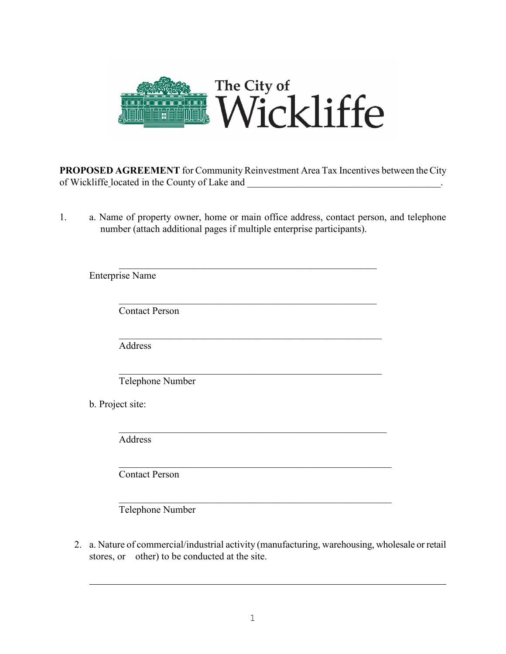

**PROPOSED AGREEMENT** for Community Reinvestment Area Tax Incentives between the City of Wickliffe located in the County of Lake and

1. a. Name of property owner, home or main office address, contact person, and telephone number (attach additional pages if multiple enterprise participants).

| <b>Enterprise Name</b> |
|------------------------|
| <b>Contact Person</b>  |
| Address                |
| Telephone Number       |
| b. Project site:       |
| Address                |
| <b>Contact Person</b>  |
|                        |

Telephone Number

2. a. Nature of commercial/industrial activity (manufacturing, warehousing, wholesale or retail stores, or other) to be conducted at the site.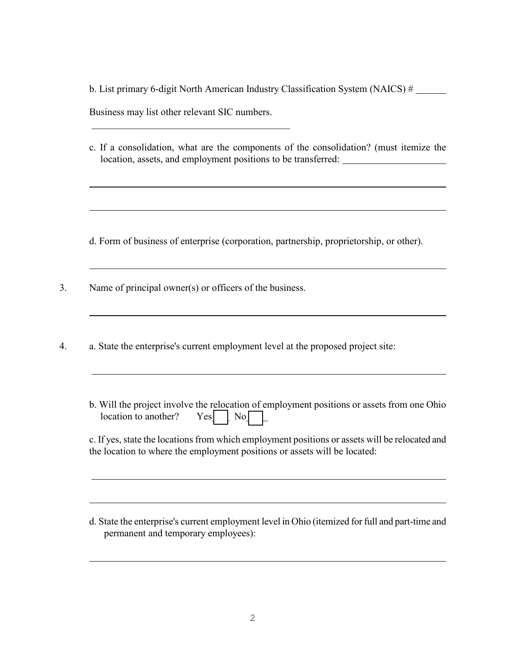b. List primary 6-digit North American Industry Classification System (NAICS) # Business may list other relevant SIC numbers.  $\mathcal{L}_\mathcal{L}$  , which is a set of the set of the set of the set of the set of the set of the set of the set of the set of the set of the set of the set of the set of the set of the set of the set of the set of the set of

c. If a consolidation, what are the components of the consolidation? (must itemize the location, assets, and employment positions to be transferred:

d. Form of business of enterprise (corporation, partnership, proprietorship, or other).

3. Name of principal owner(s) or officers of the business.

 $\overline{a}$ 

- 4. a. State the enterprise's current employment level at the proposed project site:
	- b. Will the project involve the relocation of employment positions or assets from one Ohio location to another? Yes  $\sqrt{\phantom{a}}$  No $\sqrt{\phantom{a}}$

| c. If yes, state the locations from which employment positions or assets will be relocated and |
|------------------------------------------------------------------------------------------------|
| the location to where the employment positions or assets will be located:                      |

d. State the enterprise's current employment level in Ohio (itemized for full and part-time and permanent and temporary employees):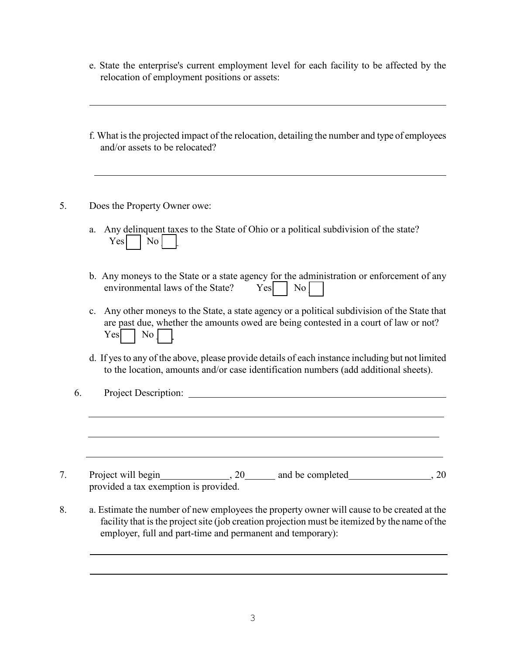- e. State the enterprise's current employment level for each facility to be affected by the relocation of employment positions or assets:
- f. What is the projected impact of the relocation, detailing the number and type of employees and/or assets to be relocated?
- 5. Does the Property Owner owe:
	- a. Any delinquent taxes to the State of Ohio or a political subdivision of the state?  $Yes$  No
	- b. Any moneys to the State or a state agency for the administration or enforcement of any environmental laws of the State?  $Yes \mid No \mid$
	- c. Any other moneys to the State, a state agency or a political subdivision of the State that are past due, whether the amounts owed are being contested in a court of law or not?  $Yes \Box No \Box$
	- d. If yes to any of the above, please provide details of each instance including but not limited to the location, amounts and/or case identification numbers (add additional sheets).
	- 6. Project Description:
- 7. Project will begin  $\frac{20}{100}$ ,  $\frac{20}{100}$  and be completed  $\frac{20}{100}$ ,  $\frac{20}{100}$ provided a tax exemption is provided.
- 8. a. Estimate the number of new employees the property owner will cause to be created at the facility that is the project site (job creation projection must be itemized by the name of the employer, full and part-time and permanent and temporary):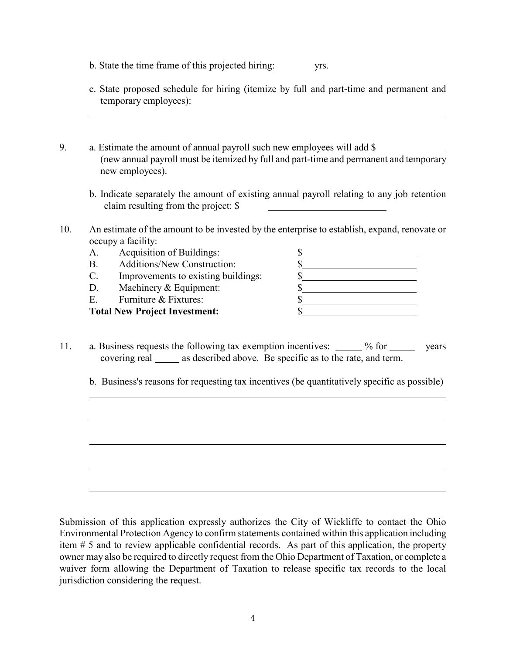- b. State the time frame of this projected hiring: yrs.
- c. State proposed schedule for hiring (itemize by full and part-time and permanent and temporary employees):
- 9. a. Estimate the amount of annual payroll such new employees will add \$ (new annual payroll must be itemized by full and part-time and permanent and temporary new employees).
	- b. Indicate separately the amount of existing annual payroll relating to any job retention claim resulting from the project: \$
- 10. An estimate of the amount to be invested by the enterprise to establish, expand, renovate or occupy a facility:
	- A. Acquisition of Buildings: \$ B. Additions/New Construction: \$ C. Improvements to existing buildings:  $\$\$ D. Machinery & Equipment:  $\S$ E. Furniture & Fixtures:  $\sim$  \$ **Total New Project Investment:** \$
- 11. a. Business requests the following tax exemption incentives: % for years covering real \_\_\_\_\_\_ as described above. Be specific as to the rate, and term.
	- b. Business's reasons for requesting tax incentives (be quantitatively specific as possible)

Submission of this application expressly authorizes the City of Wickliffe to contact the Ohio Environmental Protection Agency to confirm statements contained within this application including item # 5 and to review applicable confidential records. As part of this application, the property owner may also be required to directly request from the Ohio Department of Taxation, or complete a waiver form allowing the Department of Taxation to release specific tax records to the local jurisdiction considering the request.